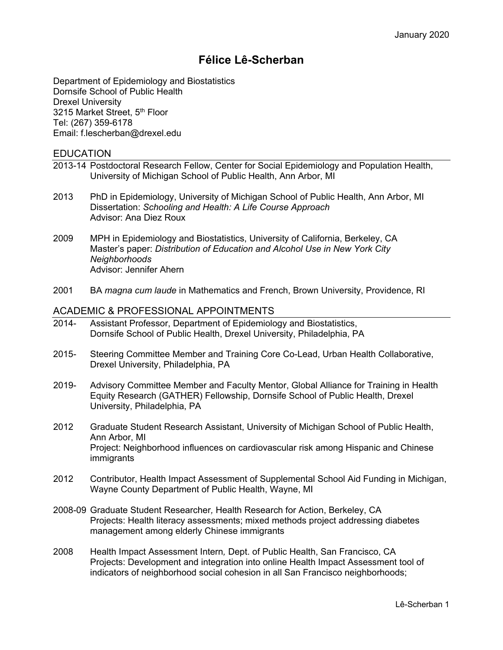# **Félice Lê-Scherban**

Department of Epidemiology and Biostatistics Dornsife School of Public Health Drexel University 3215 Market Street, 5<sup>th</sup> Floor Tel: (267) 359-6178 Email: f.lescherban@drexel.edu

# EDUCATION

- 2013-14 Postdoctoral Research Fellow, Center for Social Epidemiology and Population Health, University of Michigan School of Public Health, Ann Arbor, MI
- 2013 PhD in Epidemiology, University of Michigan School of Public Health, Ann Arbor, MI Dissertation: *Schooling and Health: A Life Course Approach* Advisor: Ana Diez Roux
- 2009 MPH in Epidemiology and Biostatistics, University of California, Berkeley, CA Master's paper: *Distribution of Education and Alcohol Use in New York City Neighborhoods* Advisor: Jennifer Ahern
- 2001 BA *magna cum laude* in Mathematics and French, Brown University, Providence, RI

#### ACADEMIC & PROFESSIONAL APPOINTMENTS

- 2014- Assistant Professor, Department of Epidemiology and Biostatistics, Dornsife School of Public Health, Drexel University, Philadelphia, PA
- 2015- Steering Committee Member and Training Core Co-Lead, Urban Health Collaborative, Drexel University, Philadelphia, PA
- 2019- Advisory Committee Member and Faculty Mentor, Global Alliance for Training in Health Equity Research (GATHER) Fellowship, Dornsife School of Public Health, Drexel University, Philadelphia, PA
- 2012 Graduate Student Research Assistant, University of Michigan School of Public Health, Ann Arbor, MI Project: Neighborhood influences on cardiovascular risk among Hispanic and Chinese immigrants
- 2012 Contributor, Health Impact Assessment of Supplemental School Aid Funding in Michigan, Wayne County Department of Public Health, Wayne, MI
- 2008-09 Graduate Student Researcher*,* Health Research for Action, Berkeley, CA Projects: Health literacy assessments; mixed methods project addressing diabetes management among elderly Chinese immigrants
- 2008 Health Impact Assessment Intern*,* Dept. of Public Health, San Francisco, CA Projects: Development and integration into online Health Impact Assessment tool of indicators of neighborhood social cohesion in all San Francisco neighborhoods;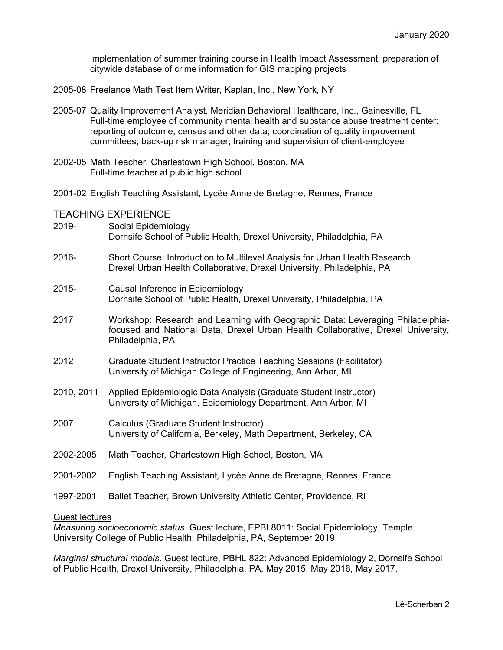implementation of summer training course in Health Impact Assessment; preparation of citywide database of crime information for GIS mapping projects

- 2005-08 Freelance Math Test Item Writer*,* Kaplan, Inc., New York, NY
- 2005-07 Quality Improvement Analyst*,* Meridian Behavioral Healthcare, Inc., Gainesville, FL Full-time employee of community mental health and substance abuse treatment center: reporting of outcome, census and other data; coordination of quality improvement committees; back-up risk manager; training and supervision of client-employee
- 2002-05 Math Teacher*,* Charlestown High School, Boston, MA Full-time teacher at public high school
- 2001-02 English Teaching Assistant*,* Lycée Anne de Bretagne, Rennes, France

#### TEACHING EXPERIENCE

| 2019-      | Social Epidemiology<br>Dornsife School of Public Health, Drexel University, Philadelphia, PA                                                                                           |
|------------|----------------------------------------------------------------------------------------------------------------------------------------------------------------------------------------|
| 2016-      | Short Course: Introduction to Multilevel Analysis for Urban Health Research<br>Drexel Urban Health Collaborative, Drexel University, Philadelphia, PA                                  |
| 2015-      | Causal Inference in Epidemiology<br>Dornsife School of Public Health, Drexel University, Philadelphia, PA                                                                              |
| 2017       | Workshop: Research and Learning with Geographic Data: Leveraging Philadelphia-<br>focused and National Data, Drexel Urban Health Collaborative, Drexel University,<br>Philadelphia, PA |
| 2012       | Graduate Student Instructor Practice Teaching Sessions (Facilitator)<br>University of Michigan College of Engineering, Ann Arbor, MI                                                   |
| 2010, 2011 | Applied Epidemiologic Data Analysis (Graduate Student Instructor)<br>University of Michigan, Epidemiology Department, Ann Arbor, MI                                                    |
| 2007       | Calculus (Graduate Student Instructor)<br>University of California, Berkeley, Math Department, Berkeley, CA                                                                            |
| 2002-2005  | Math Teacher, Charlestown High School, Boston, MA                                                                                                                                      |
| 2001-2002  | English Teaching Assistant, Lycée Anne de Bretagne, Rennes, France                                                                                                                     |
| 1997-2001  | Ballet Teacher, Brown University Athletic Center, Providence, RI                                                                                                                       |

#### Guest lectures

*Measuring socioeconomic status*. Guest lecture, EPBI 8011: Social Epidemiology, Temple University College of Public Health, Philadelphia, PA, September 2019.

*Marginal structural models*. Guest lecture, PBHL 822: Advanced Epidemiology 2, Dornsife School of Public Health, Drexel University, Philadelphia, PA, May 2015, May 2016, May 2017.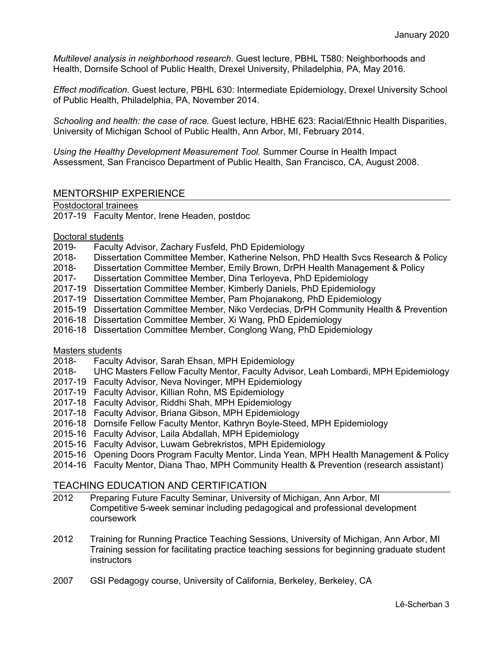*Multilevel analysis in neighborhood research*. Guest lecture, PBHL T580: Neighborhoods and Health, Dornsife School of Public Health, Drexel University, Philadelphia, PA, May 2016.

*Effect modification.* Guest lecture, PBHL 630: Intermediate Epidemiology, Drexel University School of Public Health, Philadelphia, PA, November 2014.

*Schooling and health: the case of race.* Guest lecture, HBHE 623: Racial/Ethnic Health Disparities, University of Michigan School of Public Health, Ann Arbor, MI, February 2014.

*Using the Healthy Development Measurement Tool.* Summer Course in Health Impact Assessment, San Francisco Department of Public Health, San Francisco, CA, August 2008.

# MENTORSHIP EXPERIENCE

Postdoctoral trainees

2017-19 Faculty Mentor, Irene Headen, postdoc

- Doctoral students<br>2019- Faculty Faculty Advisor, Zachary Fusfeld, PhD Epidemiology
- 2018- Dissertation Committee Member, Katherine Nelson, PhD Health Svcs Research & Policy
- 2018- Dissertation Committee Member, Emily Brown, DrPH Health Management & Policy
- 2017- Dissertation Committee Member, Dina Terloyeva, PhD Epidemiology
- 2017-19 Dissertation Committee Member, Kimberly Daniels, PhD Epidemiology
- 2017-19 Dissertation Committee Member, Pam Phojanakong, PhD Epidemiology
- 2015-19 Dissertation Committee Member, Niko Verdecias, DrPH Community Health & Prevention
- 2016-18 Dissertation Committee Member, Xi Wang, PhD Epidemiology
- 2016-18 Dissertation Committee Member, Conglong Wang, PhD Epidemiology

#### Masters students

- 2018- Faculty Advisor, Sarah Ehsan, MPH Epidemiology
- 2018- UHC Masters Fellow Faculty Mentor, Faculty Advisor, Leah Lombardi, MPH Epidemiology
- 2017-19 Faculty Advisor, Neva Novinger, MPH Epidemiology
- 2017-19 Faculty Advisor, Killian Rohn, MS Epidemiology
- 2017-18 Faculty Advisor, Riddhi Shah, MPH Epidemiology
- 2017-18 Faculty Advisor, Briana Gibson, MPH Epidemiology
- 2016-18 Dornsife Fellow Faculty Mentor, Kathryn Boyle-Steed, MPH Epidemiology
- 2015-16 Faculty Advisor, Laila Abdallah, MPH Epidemiology
- 2015-16 Faculty Advisor, Luwam Gebrekristos, MPH Epidemiology
- 2015-16 Opening Doors Program Faculty Mentor, Linda Yean, MPH Health Management & Policy
- 2014-16 Faculty Mentor, Diana Thao, MPH Community Health & Prevention (research assistant)

#### TEACHING EDUCATION AND CERTIFICATION

- 2012 Preparing Future Faculty Seminar, University of Michigan, Ann Arbor, MI Competitive 5-week seminar including pedagogical and professional development coursework
- 2012 Training for Running Practice Teaching Sessions, University of Michigan, Ann Arbor, MI Training session for facilitating practice teaching sessions for beginning graduate student **instructors**
- 2007 GSI Pedagogy course, University of California, Berkeley, Berkeley, CA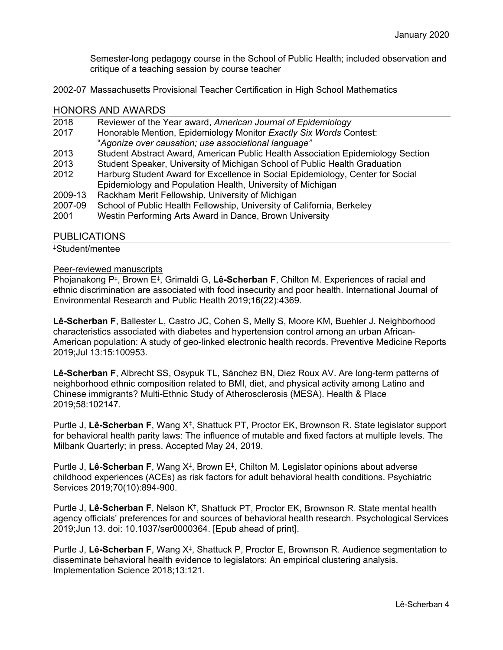Semester-long pedagogy course in the School of Public Health; included observation and critique of a teaching session by course teacher

2002-07 Massachusetts Provisional Teacher Certification in High School Mathematics

#### HONORS AND AWARDS

| 2018                 | Reviewer of the Year award, American Journal of Epidemiology                    |
|----------------------|---------------------------------------------------------------------------------|
| 2017                 | Honorable Mention, Epidemiology Monitor Exactly Six Words Contest:              |
|                      | "Agonize over causation; use associational language"                            |
| 2013                 | Student Abstract Award, American Public Health Association Epidemiology Section |
| 2013                 | Student Speaker, University of Michigan School of Public Health Graduation      |
| 2012                 | Harburg Student Award for Excellence in Social Epidemiology, Center for Social  |
|                      | Epidemiology and Population Health, University of Michigan                      |
| 2009-13              | Rackham Merit Fellowship, University of Michigan                                |
| 2007-09              | School of Public Health Fellowship, University of California, Berkeley          |
| 2001                 | Westin Performing Arts Award in Dance, Brown University                         |
|                      |                                                                                 |
| <u>BUBUA LEIALIA</u> |                                                                                 |

#### PUBLICATIONS

‡Student/mentee

#### Peer-reviewed manuscripts

Phojanakong P‡, Brown E‡, Grimaldi G, **Lê-Scherban F**, Chilton M. Experiences of racial and ethnic discrimination are associated with food insecurity and poor health. International Journal of Environmental Research and Public Health 2019;16(22):4369.

**Lê-Scherban F**, Ballester L, Castro JC, Cohen S, Melly S, Moore KM, Buehler J. Neighborhood characteristics associated with diabetes and hypertension control among an urban African-American population: A study of geo-linked electronic health records. Preventive Medicine Reports 2019;Jul 13:15:100953.

**Lê-Scherban F**, Albrecht SS, Osypuk TL, Sánchez BN, Diez Roux AV. Are long-term patterns of neighborhood ethnic composition related to BMI, diet, and physical activity among Latino and Chinese immigrants? Multi-Ethnic Study of Atherosclerosis (MESA). Health & Place 2019;58:102147.

Purtle J, **Lê-Scherban F**, Wang X‡, Shattuck PT, Proctor EK, Brownson R. State legislator support for behavioral health parity laws: The influence of mutable and fixed factors at multiple levels. The Milbank Quarterly; in press. Accepted May 24, 2019.

Purtle J, **Lê-Scherban F**, Wang X‡, Brown E‡, Chilton M. Legislator opinions about adverse childhood experiences (ACEs) as risk factors for adult behavioral health conditions. Psychiatric Services 2019;70(10):894-900.

Purtle J, **Lê-Scherban F**, Nelson K‡, Shattuck PT, Proctor EK, Brownson R. State mental health agency officials' preferences for and sources of behavioral health research. Psychological Services 2019;Jun 13. doi: 10.1037/ser0000364. [Epub ahead of print].

Purtle J, **Lê-Scherban F**, Wang X‡, Shattuck P, Proctor E, Brownson R. Audience segmentation to disseminate behavioral health evidence to legislators: An empirical clustering analysis. Implementation Science 2018;13:121.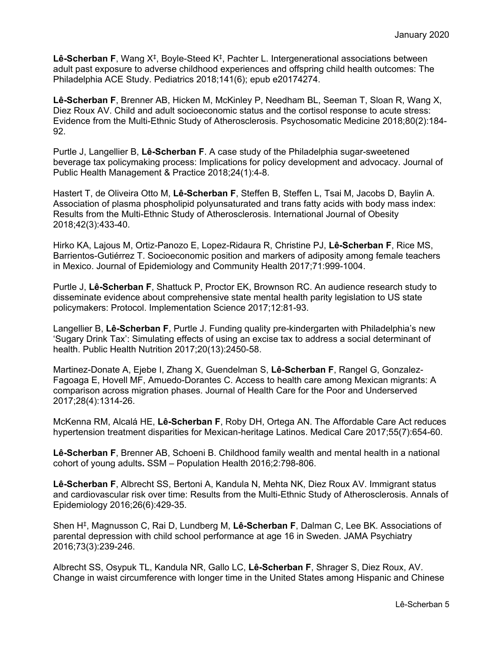**Lê-Scherban F**, Wang X‡, Boyle-Steed K‡, Pachter L. Intergenerational associations between adult past exposure to adverse childhood experiences and offspring child health outcomes: The Philadelphia ACE Study. Pediatrics 2018;141(6); epub e20174274.

**Lê-Scherban F**, Brenner AB, Hicken M, McKinley P, Needham BL, Seeman T, Sloan R, Wang X, Diez Roux AV. Child and adult socioeconomic status and the cortisol response to acute stress: Evidence from the Multi-Ethnic Study of Atherosclerosis. Psychosomatic Medicine 2018;80(2):184- 92.

Purtle J, Langellier B, **Lê-Scherban F**. A case study of the Philadelphia sugar-sweetened beverage tax policymaking process: Implications for policy development and advocacy. Journal of Public Health Management & Practice 2018;24(1):4-8.

Hastert T, de Oliveira Otto M, **Lê-Scherban F**, Steffen B, Steffen L, Tsai M, Jacobs D, Baylin A. Association of plasma phospholipid polyunsaturated and trans fatty acids with body mass index: Results from the Multi-Ethnic Study of Atherosclerosis. International Journal of Obesity 2018;42(3):433-40.

Hirko KA, Lajous M, Ortiz-Panozo E, Lopez-Ridaura R, Christine PJ, **Lê-Scherban F**, Rice MS, Barrientos-Gutiérrez T. Socioeconomic position and markers of adiposity among female teachers in Mexico. Journal of Epidemiology and Community Health 2017;71:999-1004.

Purtle J, **Lê-Scherban F**, Shattuck P, Proctor EK, Brownson RC. An audience research study to disseminate evidence about comprehensive state mental health parity legislation to US state policymakers: Protocol. Implementation Science 2017;12:81-93.

Langellier B, **Lê-Scherban F**, Purtle J. Funding quality pre-kindergarten with Philadelphia's new 'Sugary Drink Tax': Simulating effects of using an excise tax to address a social determinant of health. Public Health Nutrition 2017;20(13):2450-58.

Martinez-Donate A, Ejebe I, Zhang X, Guendelman S, **Lê-Scherban F**, Rangel G, Gonzalez-Fagoaga E, Hovell MF, Amuedo-Dorantes C. Access to health care among Mexican migrants: A comparison across migration phases. Journal of Health Care for the Poor and Underserved 2017;28(4):1314-26.

McKenna RM, Alcalá HE, **Lê-Scherban F**, Roby DH, Ortega AN. The Affordable Care Act reduces hypertension treatment disparities for Mexican-heritage Latinos. Medical Care 2017;55(7):654-60.

**Lê-Scherban F**, Brenner AB, Schoeni B. Childhood family wealth and mental health in a national cohort of young adults**.** SSM – Population Health 2016;2:798-806.

**Lê-Scherban F**, Albrecht SS, Bertoni A, Kandula N, Mehta NK, Diez Roux AV. Immigrant status and cardiovascular risk over time: Results from the Multi-Ethnic Study of Atherosclerosis. Annals of Epidemiology 2016;26(6):429-35.

Shen H‡, Magnusson C, Rai D, Lundberg M, **Lê-Scherban F**, Dalman C, Lee BK. Associations of parental depression with child school performance at age 16 in Sweden. JAMA Psychiatry 2016;73(3):239-246.

Albrecht SS, Osypuk TL, Kandula NR, Gallo LC, **Lê-Scherban F**, Shrager S, Diez Roux, AV. Change in waist circumference with longer time in the United States among Hispanic and Chinese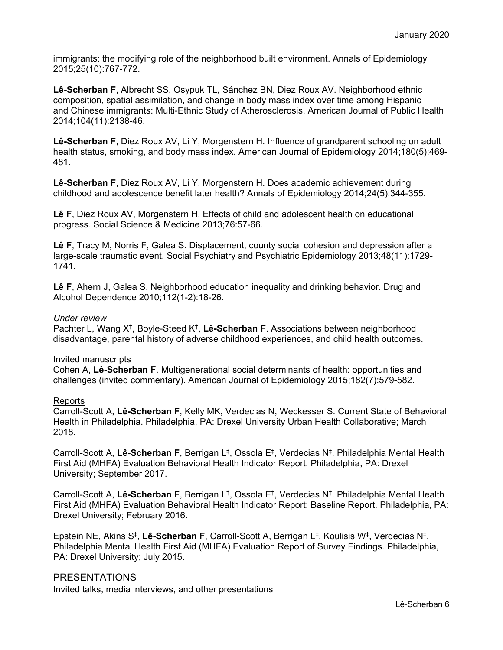immigrants: the modifying role of the neighborhood built environment. Annals of Epidemiology 2015;25(10):767-772.

**Lê-Scherban F**, Albrecht SS, Osypuk TL, Sánchez BN, Diez Roux AV. Neighborhood ethnic composition, spatial assimilation, and change in body mass index over time among Hispanic and Chinese immigrants: Multi-Ethnic Study of Atherosclerosis. American Journal of Public Health 2014;104(11):2138-46.

**Lê-Scherban F**, Diez Roux AV, Li Y, Morgenstern H. Influence of grandparent schooling on adult health status, smoking, and body mass index. American Journal of Epidemiology 2014;180(5):469-481.

**Lê-Scherban F**, Diez Roux AV, Li Y, Morgenstern H. Does academic achievement during childhood and adolescence benefit later health? Annals of Epidemiology 2014;24(5):344-355.

**Lê F**, Diez Roux AV, Morgenstern H. Effects of child and adolescent health on educational progress. Social Science & Medicine 2013;76:57-66.

**Lê F**, Tracy M, Norris F, Galea S. Displacement, county social cohesion and depression after a large-scale traumatic event. Social Psychiatry and Psychiatric Epidemiology 2013;48(11):1729- 1741.

**Lê F**, Ahern J, Galea S. Neighborhood education inequality and drinking behavior. Drug and Alcohol Dependence 2010;112(1-2):18-26.

#### *Under review*

Pachter L, Wang X‡, Boyle-Steed K‡, **Lê-Scherban F**. Associations between neighborhood disadvantage, parental history of adverse childhood experiences, and child health outcomes.

#### Invited manuscripts

Cohen A, **Lê-Scherban F**. Multigenerational social determinants of health: opportunities and challenges (invited commentary). American Journal of Epidemiology 2015;182(7):579-582.

#### Reports

Carroll-Scott A, **Lê-Scherban F**, Kelly MK, Verdecias N, Weckesser S. Current State of Behavioral Health in Philadelphia. Philadelphia, PA: Drexel University Urban Health Collaborative; March 2018.

Carroll-Scott A, **Lê-Scherban F**, Berrigan L‡, Ossola E‡, Verdecias N‡. Philadelphia Mental Health First Aid (MHFA) Evaluation Behavioral Health Indicator Report. Philadelphia, PA: Drexel University; September 2017.

Carroll-Scott A, **Lê-Scherban F**, Berrigan L‡, Ossola E‡, Verdecias N‡. Philadelphia Mental Health First Aid (MHFA) Evaluation Behavioral Health Indicator Report: Baseline Report. Philadelphia, PA: Drexel University; February 2016.

Epstein NE, Akins S‡, **Lê-Scherban F**, Carroll-Scott A, Berrigan L‡, Koulisis W‡, Verdecias N‡. Philadelphia Mental Health First Aid (MHFA) Evaluation Report of Survey Findings. Philadelphia, PA: Drexel University; July 2015.

#### PRESENTATIONS

Invited talks, media interviews, and other presentations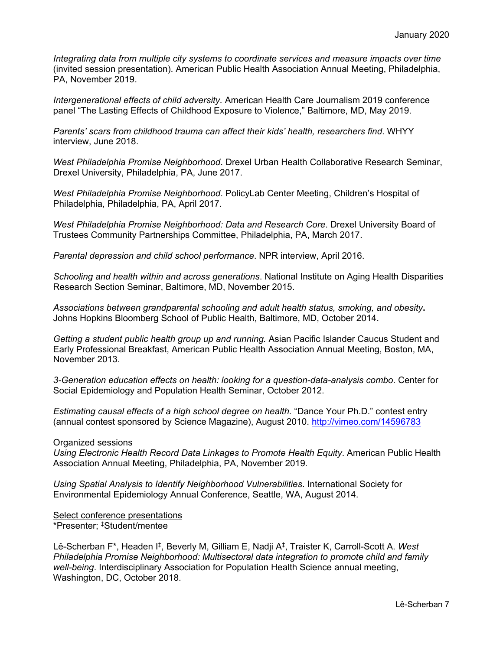*Integrating data from multiple city systems to coordinate services and measure impacts over time* (invited session presentation). American Public Health Association Annual Meeting, Philadelphia, PA, November 2019.

*Intergenerational effects of child adversity.* American Health Care Journalism 2019 conference panel "The Lasting Effects of Childhood Exposure to Violence," Baltimore, MD, May 2019.

*Parents' scars from childhood trauma can affect their kids' health, researchers find*. WHYY interview, June 2018.

*West Philadelphia Promise Neighborhood*. Drexel Urban Health Collaborative Research Seminar, Drexel University, Philadelphia, PA, June 2017.

*West Philadelphia Promise Neighborhood*. PolicyLab Center Meeting, Children's Hospital of Philadelphia, Philadelphia, PA, April 2017.

*West Philadelphia Promise Neighborhood: Data and Research Core*. Drexel University Board of Trustees Community Partnerships Committee, Philadelphia, PA, March 2017.

*Parental depression and child school performance*. NPR interview, April 2016.

*Schooling and health within and across generations*. National Institute on Aging Health Disparities Research Section Seminar, Baltimore, MD, November 2015.

*Associations between grandparental schooling and adult health status, smoking, and obesity***.**  Johns Hopkins Bloomberg School of Public Health, Baltimore, MD, October 2014.

*Getting a student public health group up and running.* Asian Pacific Islander Caucus Student and Early Professional Breakfast, American Public Health Association Annual Meeting, Boston, MA, November 2013.

*3-Generation education effects on health: looking for a question-data-analysis combo*. Center for Social Epidemiology and Population Health Seminar, October 2012.

*Estimating causal effects of a high school degree on health.* "Dance Your Ph.D." contest entry (annual contest sponsored by Science Magazine), August 2010.<http://vimeo.com/14596783>

#### Organized sessions

*Using Electronic Health Record Data Linkages to Promote Health Equity*. American Public Health Association Annual Meeting, Philadelphia, PA, November 2019.

*Using Spatial Analysis to Identify Neighborhood Vulnerabilities*. International Society for Environmental Epidemiology Annual Conference, Seattle, WA, August 2014.

Select conference presentations \*Presenter; ‡Student/mentee

Lê-Scherban F\*, Headen I‡, Beverly M, Gilliam E, Nadji A‡, Traister K, Carroll-Scott A. *West Philadelphia Promise Neighborhood: Multisectoral data integration to promote child and family well-being*. Interdisciplinary Association for Population Health Science annual meeting, Washington, DC, October 2018.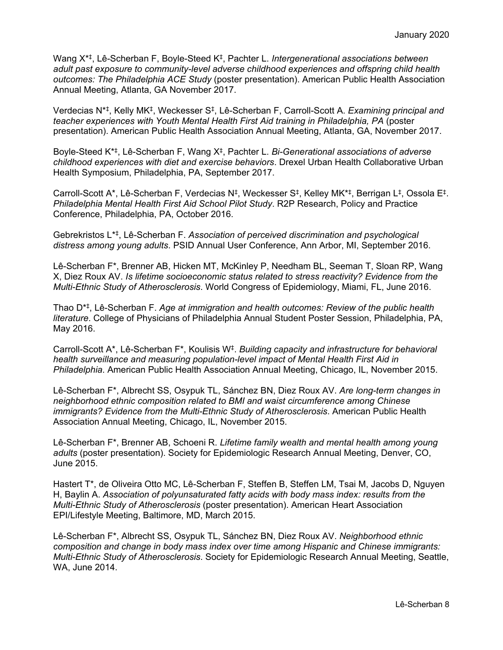Wang X\*‡, Lê-Scherban F, Boyle-Steed K‡, Pachter L. *Intergenerational associations between adult past exposure to community-level adverse childhood experiences and offspring child health outcomes: The Philadelphia ACE Study* (poster presentation). American Public Health Association Annual Meeting, Atlanta, GA November 2017.

Verdecias N\*‡, Kelly MK‡, Weckesser S‡, Lê-Scherban F, Carroll-Scott A. *Examining principal and teacher experiences with Youth Mental Health First Aid training in Philadelphia, PA* (poster presentation). American Public Health Association Annual Meeting, Atlanta, GA, November 2017.

Boyle-Steed K\*‡, Lê-Scherban F, Wang X‡, Pachter L. *Bi-Generational associations of adverse childhood experiences with diet and exercise behaviors*. Drexel Urban Health Collaborative Urban Health Symposium, Philadelphia, PA, September 2017.

Carroll-Scott A\*, Lê-Scherban F, Verdecias N‡, Weckesser S‡, Kelley MK\*‡, Berrigan L‡, Ossola E‡. *Philadelphia Mental Health First Aid School Pilot Study*. R2P Research, Policy and Practice Conference, Philadelphia, PA, October 2016.

Gebrekristos L\*‡, Lê-Scherban F. *Association of perceived discrimination and psychological distress among young adults*. PSID Annual User Conference, Ann Arbor, MI, September 2016.

Lê-Scherban F\*, Brenner AB, Hicken MT, McKinley P, Needham BL, Seeman T, Sloan RP, Wang X, Diez Roux AV. *Is lifetime socioeconomic status related to stress reactivity? Evidence from the Multi-Ethnic Study of Atherosclerosis*. World Congress of Epidemiology, Miami, FL, June 2016.

Thao D\*‡, Lê-Scherban F. *Age at immigration and health outcomes: Review of the public health literature*. College of Physicians of Philadelphia Annual Student Poster Session, Philadelphia, PA, May 2016.

Carroll-Scott A\*, Lê-Scherban F\*, Koulisis W‡. *Building capacity and infrastructure for behavioral health surveillance and measuring population-level impact of Mental Health First Aid in Philadelphia*. American Public Health Association Annual Meeting, Chicago, IL, November 2015.

Lê-Scherban F\*, Albrecht SS, Osypuk TL, Sánchez BN, Diez Roux AV. *Are long-term changes in neighborhood ethnic composition related to BMI and waist circumference among Chinese immigrants? Evidence from the Multi-Ethnic Study of Atherosclerosis*. American Public Health Association Annual Meeting, Chicago, IL, November 2015.

Lê-Scherban F\*, Brenner AB, Schoeni R. *Lifetime family wealth and mental health among young adults* (poster presentation). Society for Epidemiologic Research Annual Meeting, Denver, CO, June 2015.

Hastert T\*, de Oliveira Otto MC, Lê-Scherban F, Steffen B, Steffen LM, Tsai M, Jacobs D, Nguyen H, Baylin A. *Association of polyunsaturated fatty acids with body mass index: results from the Multi-Ethnic Study of Atherosclerosis* (poster presentation). American Heart Association EPI/Lifestyle Meeting, Baltimore, MD, March 2015.

Lê-Scherban F\*, Albrecht SS, Osypuk TL, Sánchez BN, Diez Roux AV. *Neighborhood ethnic composition and change in body mass index over time among Hispanic and Chinese immigrants: Multi-Ethnic Study of Atherosclerosis*. Society for Epidemiologic Research Annual Meeting, Seattle, WA, June 2014.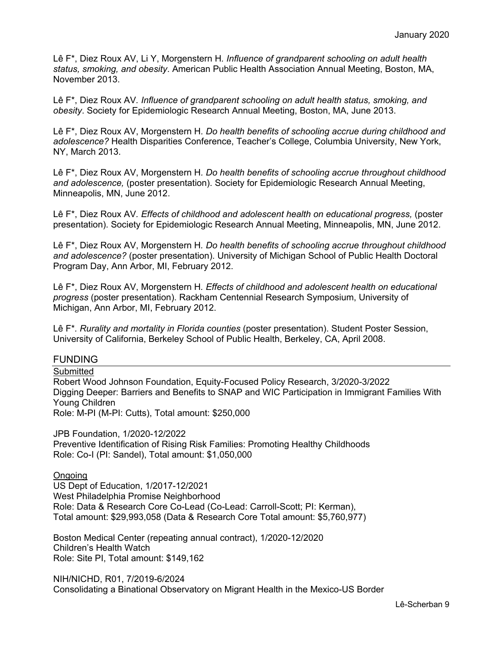Lê F\*, Diez Roux AV, Li Y, Morgenstern H*. Influence of grandparent schooling on adult health status, smoking, and obesity*. American Public Health Association Annual Meeting, Boston, MA, November 2013.

Lê F\*, Diez Roux AV*. Influence of grandparent schooling on adult health status, smoking, and obesity*. Society for Epidemiologic Research Annual Meeting, Boston, MA, June 2013.

Lê F\*, Diez Roux AV, Morgenstern H*. Do health benefits of schooling accrue during childhood and adolescence?* Health Disparities Conference, Teacher's College, Columbia University, New York, NY, March 2013.

Lê F\*, Diez Roux AV, Morgenstern H*. Do health benefits of schooling accrue throughout childhood and adolescence,* (poster presentation). Society for Epidemiologic Research Annual Meeting, Minneapolis, MN, June 2012.

Lê F\*, Diez Roux AV*. Effects of childhood and adolescent health on educational progress,* (poster presentation). Society for Epidemiologic Research Annual Meeting, Minneapolis, MN, June 2012.

Lê F\*, Diez Roux AV, Morgenstern H*. Do health benefits of schooling accrue throughout childhood and adolescence?* (poster presentation). University of Michigan School of Public Health Doctoral Program Day, Ann Arbor, MI, February 2012.

Lê F\*, Diez Roux AV, Morgenstern H*. Effects of childhood and adolescent health on educational progress* (poster presentation). Rackham Centennial Research Symposium, University of Michigan, Ann Arbor, MI, February 2012.

Lê F\**. Rurality and mortality in Florida counties* (poster presentation). Student Poster Session, University of California, Berkeley School of Public Health, Berkeley, CA, April 2008.

# FUNDING

**Submitted** 

Robert Wood Johnson Foundation, Equity-Focused Policy Research, 3/2020-3/2022 Digging Deeper: Barriers and Benefits to SNAP and WIC Participation in Immigrant Families With Young Children

Role: M-PI (M-PI: Cutts), Total amount: \$250,000

JPB Foundation, 1/2020-12/2022 Preventive Identification of Rising Risk Families: Promoting Healthy Childhoods Role: Co-I (PI: Sandel), Total amount: \$1,050,000

#### Ongoing

US Dept of Education, 1/2017-12/2021 West Philadelphia Promise Neighborhood Role: Data & Research Core Co-Lead (Co-Lead: Carroll-Scott; PI: Kerman), Total amount: \$29,993,058 (Data & Research Core Total amount: \$5,760,977)

Boston Medical Center (repeating annual contract), 1/2020-12/2020 Children's Health Watch Role: Site PI, Total amount: \$149,162

NIH/NICHD, R01, 7/2019-6/2024 Consolidating a Binational Observatory on Migrant Health in the Mexico-US Border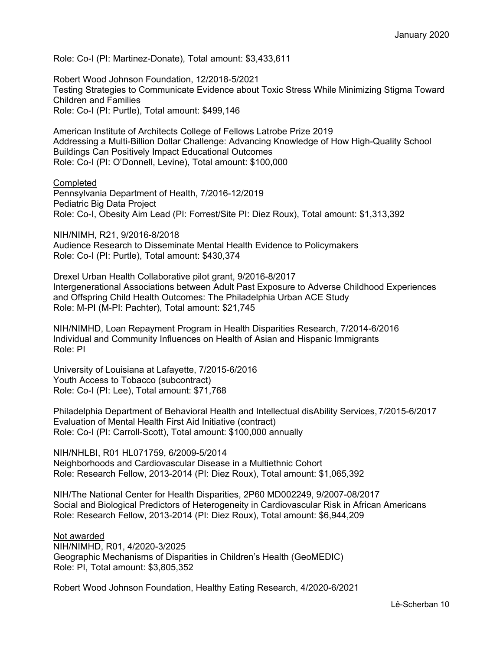Role: Co-I (PI: Martinez-Donate), Total amount: \$3,433,611

Robert Wood Johnson Foundation, 12/2018-5/2021 Testing Strategies to Communicate Evidence about Toxic Stress While Minimizing Stigma Toward Children and Families Role: Co-I (PI: Purtle), Total amount: \$499,146

American Institute of Architects College of Fellows Latrobe Prize 2019 Addressing a Multi-Billion Dollar Challenge: Advancing Knowledge of How High-Quality School Buildings Can Positively Impact Educational Outcomes Role: Co-I (PI: O'Donnell, Levine), Total amount: \$100,000

#### **Completed**

Pennsylvania Department of Health, 7/2016-12/2019 Pediatric Big Data Project Role: Co-I, Obesity Aim Lead (PI: Forrest/Site PI: Diez Roux), Total amount: \$1,313,392

NIH/NIMH, R21, 9/2016-8/2018 Audience Research to Disseminate Mental Health Evidence to Policymakers Role: Co-I (PI: Purtle), Total amount: \$430,374

Drexel Urban Health Collaborative pilot grant, 9/2016-8/2017 Intergenerational Associations between Adult Past Exposure to Adverse Childhood Experiences and Offspring Child Health Outcomes: The Philadelphia Urban ACE Study Role: M-PI (M-PI: Pachter), Total amount: \$21,745

NIH/NIMHD, Loan Repayment Program in Health Disparities Research, 7/2014-6/2016 Individual and Community Influences on Health of Asian and Hispanic Immigrants Role: PI

University of Louisiana at Lafayette, 7/2015-6/2016 Youth Access to Tobacco (subcontract) Role: Co-I (PI: Lee), Total amount: \$71,768

Philadelphia Department of Behavioral Health and Intellectual disAbility Services,7/2015-6/2017 Evaluation of Mental Health First Aid Initiative (contract) Role: Co-I (PI: Carroll-Scott), Total amount: \$100,000 annually

NIH/NHLBI, R01 HL071759, 6/2009-5/2014 Neighborhoods and Cardiovascular Disease in a Multiethnic Cohort Role: Research Fellow, 2013-2014 (PI: Diez Roux), Total amount: \$1,065,392

NIH/The National Center for Health Disparities, 2P60 MD002249, 9/2007-08/2017 Social and Biological Predictors of Heterogeneity in Cardiovascular Risk in African Americans Role: Research Fellow, 2013-2014 (PI: Diez Roux), Total amount: \$6,944,209

Not awarded NIH/NIMHD, R01, 4/2020-3/2025 Geographic Mechanisms of Disparities in Children's Health (GeoMEDIC) Role: PI, Total amount: \$3,805,352

Robert Wood Johnson Foundation, Healthy Eating Research, 4/2020-6/2021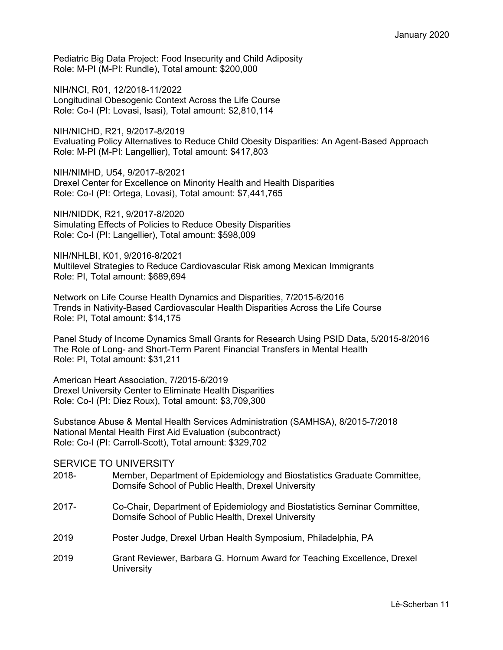Pediatric Big Data Project: Food Insecurity and Child Adiposity Role: M-PI (M-PI: Rundle), Total amount: \$200,000

NIH/NCI, R01, 12/2018-11/2022 Longitudinal Obesogenic Context Across the Life Course Role: Co-I (PI: Lovasi, Isasi), Total amount: \$2,810,114

NIH/NICHD, R21, 9/2017-8/2019 Evaluating Policy Alternatives to Reduce Child Obesity Disparities: An Agent-Based Approach Role: M-PI (M-PI: Langellier), Total amount: \$417,803

NIH/NIMHD, U54, 9/2017-8/2021 Drexel Center for Excellence on Minority Health and Health Disparities Role: Co-I (PI: Ortega, Lovasi), Total amount: \$7,441,765

NIH/NIDDK, R21, 9/2017-8/2020 Simulating Effects of Policies to Reduce Obesity Disparities Role: Co-I (PI: Langellier), Total amount: \$598,009

NIH/NHLBI, K01, 9/2016-8/2021 Multilevel Strategies to Reduce Cardiovascular Risk among Mexican Immigrants Role: PI, Total amount: \$689,694

Network on Life Course Health Dynamics and Disparities, 7/2015-6/2016 Trends in Nativity-Based Cardiovascular Health Disparities Across the Life Course Role: PI, Total amount: \$14,175

Panel Study of Income Dynamics Small Grants for Research Using PSID Data, 5/2015-8/2016 The Role of Long- and Short-Term Parent Financial Transfers in Mental Health Role: PI, Total amount: \$31,211

American Heart Association, 7/2015-6/2019 Drexel University Center to Eliminate Health Disparities Role: Co-I (PI: Diez Roux), Total amount: \$3,709,300

Substance Abuse & Mental Health Services Administration (SAMHSA), 8/2015-7/2018 National Mental Health First Aid Evaluation (subcontract) Role: Co-I (PI: Carroll-Scott), Total amount: \$329,702

## SERVICE TO UNIVERSITY

| 2018- | Member, Department of Epidemiology and Biostatistics Graduate Committee,<br>Dornsife School of Public Health, Drexel University  |
|-------|----------------------------------------------------------------------------------------------------------------------------------|
| 2017- | Co-Chair, Department of Epidemiology and Biostatistics Seminar Committee,<br>Dornsife School of Public Health, Drexel University |
| 2019  | Poster Judge, Drexel Urban Health Symposium, Philadelphia, PA                                                                    |
| 2019  | Grant Reviewer, Barbara G. Hornum Award for Teaching Excellence, Drexel<br>University                                            |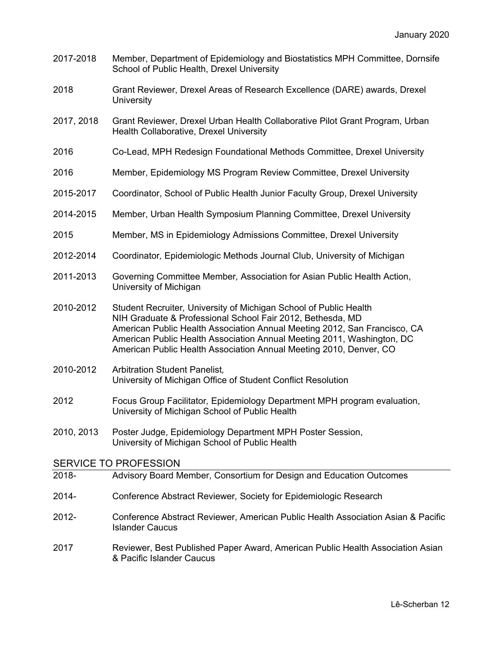- 2017-2018 Member, Department of Epidemiology and Biostatistics MPH Committee, Dornsife School of Public Health, Drexel University
- 2018 Grant Reviewer, Drexel Areas of Research Excellence (DARE) awards, Drexel **University**
- 2017, 2018 Grant Reviewer, Drexel Urban Health Collaborative Pilot Grant Program, Urban Health Collaborative, Drexel University
- 2016 Co-Lead, MPH Redesign Foundational Methods Committee, Drexel University
- 2016 Member, Epidemiology MS Program Review Committee, Drexel University
- 2015-2017 Coordinator, School of Public Health Junior Faculty Group, Drexel University
- 2014-2015 Member, Urban Health Symposium Planning Committee, Drexel University
- 2015 Member, MS in Epidemiology Admissions Committee, Drexel University
- 2012-2014 Coordinator*,* Epidemiologic Methods Journal Club, University of Michigan
- 2011-2013 Governing Committee Member*,* Association for Asian Public Health Action, University of Michigan
- 2010-2012 Student Recruiter*,* University of Michigan School of Public Health NIH Graduate & Professional School Fair 2012, Bethesda, MD American Public Health Association Annual Meeting 2012, San Francisco, CA American Public Health Association Annual Meeting 2011, Washington, DC American Public Health Association Annual Meeting 2010, Denver, CO
- 2010-2012 Arbitration Student Panelist*,*  University of Michigan Office of Student Conflict Resolution
- 2012 Focus Group Facilitator*,* Epidemiology Department MPH program evaluation, University of Michigan School of Public Health
- 2010, 2013 Poster Judge, Epidemiology Department MPH Poster Session, University of Michigan School of Public Health

SERVICE TO PROFESSION

- 2018- Advisory Board Member, Consortium for Design and Education Outcomes
- 2014- Conference Abstract Reviewer*,* Society for Epidemiologic Research
- 2012- Conference Abstract Reviewer, American Public Health Association Asian & Pacific Islander Caucus
- 2017 Reviewer, Best Published Paper Award, American Public Health Association Asian & Pacific Islander Caucus